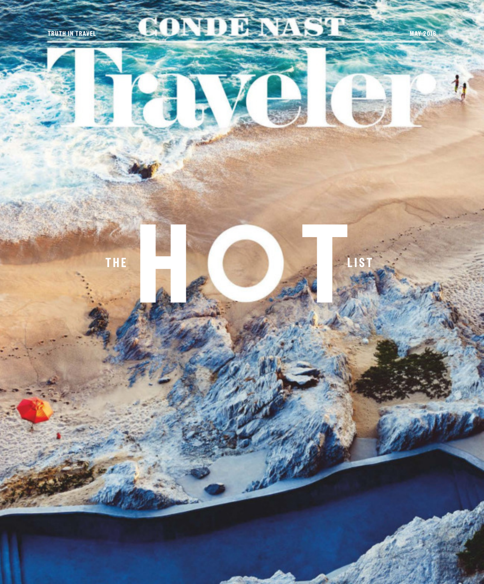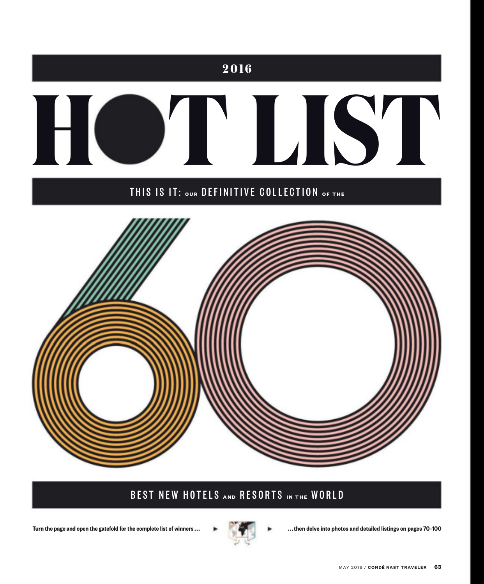

## BEST NEW HOTELS **AND** RESORTS **IN THE** WORLD

Turn the page and open the gatefold for the complete list of winners ...  $\blacksquare$ 



...